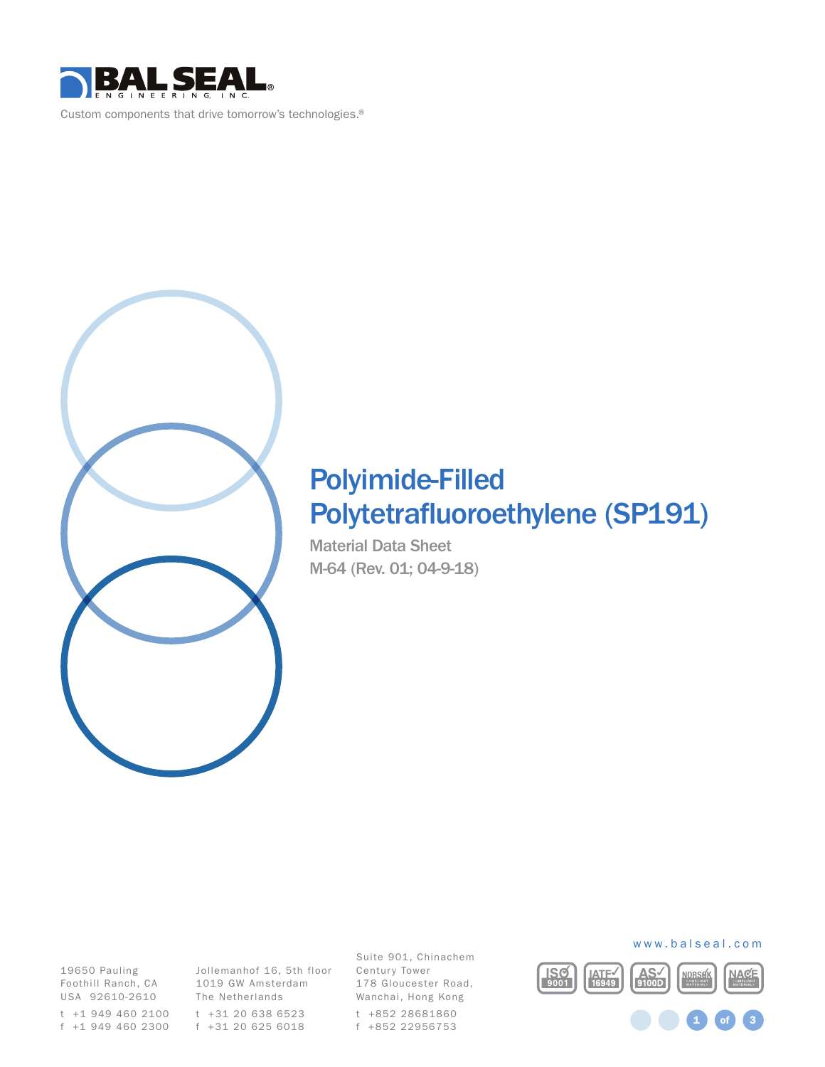

Custom components that drive tomorrow's technologies.®



# Polyimide-Filled Polytetrafluoroethylene (SP191)

Material Data Sheet M-64 (Rev. 01; 04-9-18)

19650 Pauling Foothill Ranch, CA USA 92610-2610

f +31 20 625 6018 f +1 949 460 2300

Jollemanhof 16, 5th floor Century Tower 1019 GW Amsterdam The Netherlands t +31 20 638 6523 t +1 949 460 2100

Suite 901, Chinachem 178 Gloucester Road, Wanchai, Hong Kong t +852 28681860 f +852 22956753



www.balseal.com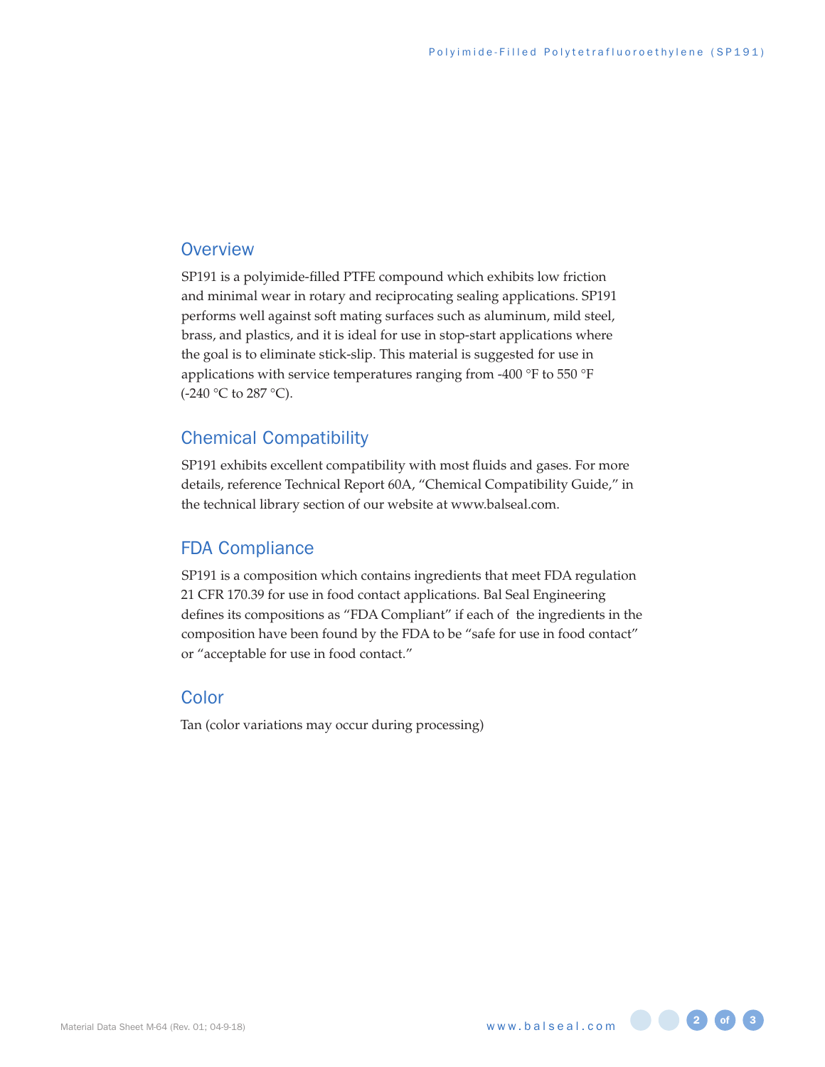#### **Overview**

SP191 is a polyimide-filled PTFE compound which exhibits low friction and minimal wear in rotary and reciprocating sealing applications. SP191 performs well against soft mating surfaces such as aluminum, mild steel, brass, and plastics, and it is ideal for use in stop-start applications where the goal is to eliminate stick-slip. This material is suggested for use in applications with service temperatures ranging from -400 °F to 550 °F (-240 °C to 287 °C).

#### Chemical Compatibility

SP191 exhibits excellent compatibility with most fluids and gases. For more details, reference Technical Report 60A, "Chemical Compatibility Guide," in the technical library section of our website at www.balseal.com.

#### FDA Compliance

SP191 is a composition which contains ingredients that meet FDA regulation 21 CFR 170.39 for use in food contact applications. Bal Seal Engineering defines its compositions as "FDA Compliant" if each of the ingredients in the composition have been found by the FDA to be "safe for use in food contact" or "acceptable for use in food contact."

#### Color

Tan (color variations may occur during processing)